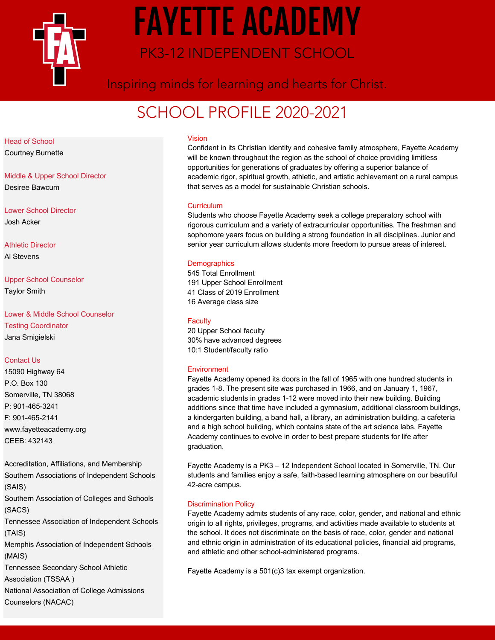

# FAYETTE ACADEMY PK3-12 INDEPENDENT SCHOOL

Inspiring minds for learning and hearts for Christ.

# SCHOOL PROFILE 2020-2021

Head of School

Courtney Burnette

Middle & Upper School Director Desiree Bawcum

Lower School Director Josh Acker

Athletic Director Al Stevens

Upper School Counselor Taylor Smith

Lower & Middle School Counselor Testing Coordinator Jana Smigielski

# Contact Us

15090 Highway 64 P.O. Box 130 Somerville, TN 38068 P: 901-465-3241 F: 901-465-2141 www.fayetteacademy.org CEEB: 432143

Accreditation, Affiliations, and Membership Southern Associations of Independent Schools (SAIS) Southern Association of Colleges and Schools (SACS) Tennessee Association of Independent Schools (TAIS) Memphis Association of Independent Schools (MAIS) Tennessee Secondary School Athletic Association (TSSAA ) National Association of College Admissions Counselors (NACAC)

# Vision

Confident in its Christian identity and cohesive family atmosphere, Fayette Academy will be known throughout the region as the school of choice providing limitless opportunities for generations of graduates by offering a superior balance of academic rigor, spiritual growth, athletic, and artistic achievement on a rural campus that serves as a model for sustainable Christian schools.

# **Curriculum**

Students who choose Fayette Academy seek a college preparatory school with rigorous curriculum and a variety of extracurricular opportunities. The freshman and sophomore years focus on building a strong foundation in all disciplines. Junior and senior year curriculum allows students more freedom to pursue areas of interest.

#### **Demographics**

545 Total Enrollment 191 Upper School Enrollment 41 Class of 2019 Enrollment 16 Average class size

#### **Faculty**

20 Upper School faculty 30% have advanced degrees 10:1 Student/faculty ratio

# **Environment**

Fayette Academy opened its doors in the fall of 1965 with one hundred students in grades 1-8. The present site was purchased in 1966, and on January 1, 1967, academic students in grades 1-12 were moved into their new building. Building additions since that time have included a gymnasium, additional classroom buildings, a kindergarten building, a band hall, a library, an administration building, a cafeteria and a high school building, which contains state of the art science labs. Fayette Academy continues to evolve in order to best prepare students for life after graduation.

Fayette Academy is a PK3 – 12 Independent School located in Somerville, TN. Our students and families enjoy a safe, faith-based learning atmosphere on our beautiful 42-acre campus.

# Discrimination Policy

Fayette Academy admits students of any race, color, gender, and national and ethnic origin to all rights, privileges, programs, and activities made available to students at the school. It does not discriminate on the basis of race, color, gender and national and ethnic origin in administration of its educational policies, financial aid programs, and athletic and other school-administered programs.

Fayette Academy is a 501(c)3 tax exempt organization.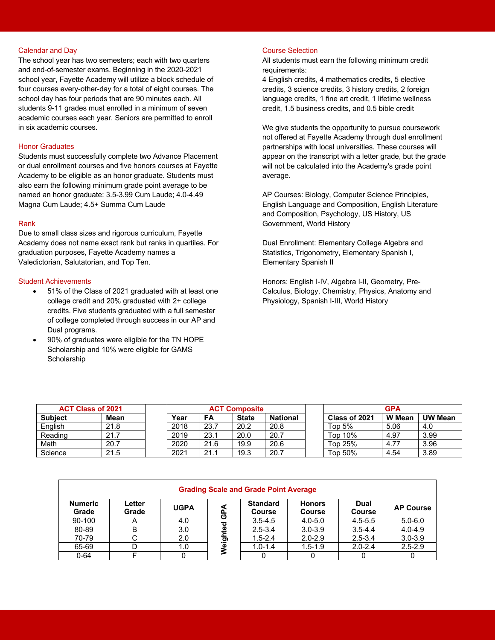#### Calendar and Day

The school year has two semesters; each with two quarters and end-of-semester exams. Beginning in the 2020-2021 school year, Fayette Academy will utilize a block schedule of four courses every-other-day for a total of eight courses. The school day has four periods that are 90 minutes each. All students 9-11 grades must enrolled in a minimum of seven academic courses each year. Seniors are permitted to enroll in six academic courses.

# Honor Graduates

Students must successfully complete two Advance Placement or dual enrollment courses and five honors courses at Fayette Academy to be eligible as an honor graduate. Students must also earn the following minimum grade point average to be named an honor graduate: 3.5-3.99 Cum Laude; 4.0-4.49 Magna Cum Laude; 4.5+ Summa Cum Laude

#### Rank

Due to small class sizes and rigorous curriculum, Fayette Academy does not name exact rank but ranks in quartiles. For graduation purposes, Fayette Academy names a Valedictorian, Salutatorian, and Top Ten.

#### Student Achievements

- 51% of the Class of 2021 graduated with at least one college credit and 20% graduated with 2+ college credits. Five students graduated with a full semester of college completed through success in our AP and Dual programs.
- 90% of graduates were eligible for the TN HOPE Scholarship and 10% were eligible for GAMS **Scholarship**

# Course Selection

All students must earn the following minimum credit requirements:

4 English credits, 4 mathematics credits, 5 elective credits, 3 science credits, 3 history credits, 2 foreign language credits, 1 fine art credit, 1 lifetime wellness credit, 1.5 business credits, and 0.5 bible credit

We give students the opportunity to pursue coursework not offered at Fayette Academy through dual enrollment partnerships with local universities. These courses will appear on the transcript with a letter grade, but the grade will not be calculated into the Academy's grade point average.

AP Courses: Biology, Computer Science Principles, English Language and Composition, English Literature and Composition, Psychology, US History, US Government, World History

Dual Enrollment: Elementary College Algebra and Statistics, Trigonometry, Elementary Spanish I, Elementary Spanish II

Honors: English I-IV, Algebra I-II, Geometry, Pre-Calculus, Biology, Chemistry, Physics, Anatomy and Physiology, Spanish I-III, World History

| <b>ACT Class of 2021</b> |             | <b>ACT Composite</b> |      |              |                 |  | <b>GPA</b>    |               |                |
|--------------------------|-------------|----------------------|------|--------------|-----------------|--|---------------|---------------|----------------|
| <b>Subiect</b>           | <b>Mean</b> | Year                 | FA   | <b>State</b> | <b>National</b> |  | Class of 2021 | <b>W</b> Mean | <b>UW Mean</b> |
| English                  | 21.8        | 2018                 | 23.7 | 20.2         | 20.8            |  | Top 5%        | 5.06          | 4.0            |
| Reading                  | 21.7        | 2019                 | 23.1 | 20.0         | 20.7            |  | Top 10%       | 4.97          | 3.99           |
| Math                     | 20.7        | 2020                 | 21.6 | 19.9         | 20.6            |  | Top 25%       | 4.77          | 3.96           |
| Science                  | 21.5        | 2021                 | 21.1 | 19.3         | 20.7            |  | Top 50%       | 4.54          | 3.89           |

| <b>Grading Scale and Grade Point Average</b> |                 |             |        |                                  |                                |                       |                  |
|----------------------------------------------|-----------------|-------------|--------|----------------------------------|--------------------------------|-----------------------|------------------|
| <b>Numeric</b><br>Grade                      | Letter<br>Grade | <b>UGPA</b> | ⋖<br>௳ | <b>Standard</b><br><b>Course</b> | <b>Honors</b><br><b>Course</b> | Dual<br><b>Course</b> | <b>AP Course</b> |
| 90-100                                       | $\mathsf{H}$    | 4.0         | ტ<br>ਠ | $3.5 - 4.5$                      | $4.0 - 5.0$                    | $4.5 - 5.5$           | $5.0 - 6.0$      |
| 80-89                                        | B               | 3.0         | ω<br>Ē | $2.5 - 3.4$                      | $3.0 - 3.9$                    | $3.5 - 4.4$           | $4.0 - 4.9$      |
| 70-79                                        |                 | 2.0         |        | $1.5 - 2.4$                      | $2.0 - 2.9$                    | $2.5 - 3.4$           | $3.0 - 3.9$      |
| 65-69                                        |                 | 1.0         | Weigl  | $1.0 - 1.4$                      | $1.5 - 1.9$                    | $2.0 - 2.4$           | $2.5 - 2.9$      |
| $0 - 64$                                     |                 |             |        | O                                |                                |                       |                  |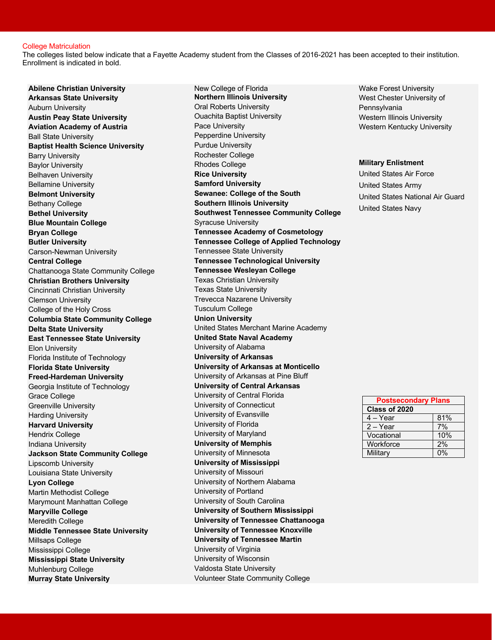#### College Matriculation

The colleges listed below indicate that a Fayette Academy student from the Classes of 2016-2021 has been accepted to their institution. Enrollment is indicated in bold.

**Abilene Christian University Arkansas State University** Auburn University **Austin Peay State University Aviation Academy of Austria** Ball State University **Baptist Health Science University** Barry University Baylor University Belhaven University Bellamine University **Belmont University** Bethany College **Bethel University Blue Mountain College Bryan College Butler University** Carson-Newman University **Central College** Chattanooga State Community College **Christian Brothers University** Cincinnati Christian University Clemson University College of the Holy Cross **Columbia State Community College Delta State University East Tennessee State University** Elon University Florida Institute of Technology **Florida State University Freed-Hardeman University** Georgia Institute of Technology Grace College Greenville University Harding University **Harvard University** Hendrix College Indiana University **Jackson State Community College** Lipscomb University Louisiana State University **Lyon College** Martin Methodist College Marymount Manhattan College **Maryville College** Meredith College **Middle Tennessee State University** Millsaps College Mississippi College **Mississippi State University** Muhlenburg College **Murray State University**

New College of Florida **Northern Illinois University** Oral Roberts University Ouachita Baptist University Pace University Pepperdine University Purdue University Rochester College Rhodes College **Rice University Samford University Sewanee: College of the South Southern Illinois University Southwest Tennessee Community College** Syracuse University **Tennessee Academy of Cosmetology Tennessee College of Applied Technology** Tennessee State University **Tennessee Technological University Tennessee Wesleyan College** Texas Christian University Texas State University Trevecca Nazarene University Tusculum College **Union University** United States Merchant Marine Academy **United State Naval Academy** University of Alabama **University of Arkansas University of Arkansas at Monticello** University of Arkansas at Pine Bluff **University of Central Arkansas** University of Central Florida University of Connecticut University of Evansville University of Florida University of Maryland **University of Memphis** University of Minnesota **University of Mississippi** University of Missouri University of Northern Alabama University of Portland University of South Carolina **University of Southern Mississippi University of Tennessee Chattanooga University of Tennessee Knoxville University of Tennessee Martin** University of Virginia University of Wisconsin Valdosta State University Volunteer State Community College

Wake Forest University West Chester University of Pennsylvania Western Illinois University Western Kentucky University

#### **Military Enlistment**

United States Air Force United States Army United States National Air Guard United States Navy

| <b>Postsecondary Plans</b> |     |  |  |  |
|----------------------------|-----|--|--|--|
| Class of 2020              |     |  |  |  |
| 4 – Year                   | 81% |  |  |  |
| $2 - Year$                 | 7%  |  |  |  |
| Vocational                 | 10% |  |  |  |
| Workforce                  | 2%  |  |  |  |
| Military                   |     |  |  |  |